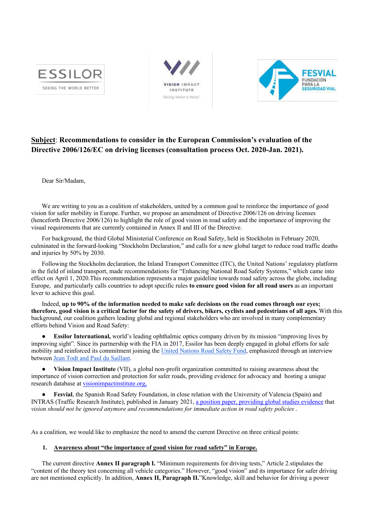





## **Subject**: **Recommendations to consider in the European Commission's evaluation of the Directive 2006/126/EC on driving licenses (consultation process Oct. 2020-Jan. 2021).**

Dear Sir/Madam,

We are writing to you as a coalition of stakeholders, united by a common goal to reinforce the importance of good vision for safer mobility in Europe. Further, we propose an amendment of Directive 2006/126 on driving licenses (henceforth Directive 2006/126) to highlight the role of good vision in road safety and the importance of improving the visual requirements that are currently contained in Annex II and III of the Directive.

For background, the third Global Ministerial Conference on Road Safety, held in Stockholm in February 2020, culminated in the forward-looking "Stockholm Declaration," and calls for a new global target to reduce road traffic deaths and injuries by 50% by 2030.

Following the Stockholm declaration, the Inland Transport Committee (ITC), the United Nations' regulatory platform in the field of inland transport, made recommendations for "Enhancing National Road Safety Systems," which came into effect on April 1, 2020.This recommendation represents a major guideline towards road safety across the globe, including Europe, and particularly calls countries to adopt specific rules **to ensure good vision for all road users** as an important lever to achieve this goal.

Indeed, **up to 90% of the information needed to make safe decisions on the road comes through our eyes; therefore, good vision is a critical factor for the safety of drivers, bikers, cyclists and pedestrians of all ages.** With this background, our coalition gathers leading global and regional stakeholders who are involved in many complementary efforts behind Vision and Road Safety:

**Essilor International,** world's leading ophthalmic optics company driven by its mission "improving lives by improving sight". Since its partnership with the FIA in 2017, Essilor has been deeply engaged in global efforts for safe mobility and reinforced its commitment joining the United Nations Road Safety Fund, emphasized through an interview between Jean Todt and Paul du Saillant.

● **Vision Impact Institute** (VII), a global non-profit organization committed to raising awareness about the importance of vision correction and protection for safer roads, providing evidence for advocacy and hosting a unique research database at visionimpactinstitute.org,

**Fesvial**, the Spanish Road Safety Foundation, in close relation with the University of Valencia (Spain) and INTRAS (Traffic Research Institute), published in January 2021, a position paper, providing global studies evidence that *vision should not be ignored anymore and recommendations for immediate action in road safety policies* .

As a coalition, we would like to emphasize the need to amend the current Directive on three critical points:

## **1. Awareness about "the importance of good vision for road safety" in Europe.**

The current directive **Annex II paragraph I.** "Minimum requirements for driving tests," Article 2.stipulates the "content of the theory test concerning all vehicle categories." However, "good vision" and its importance for safer driving are not mentioned explicitly. In addition, **Annex II, Paragraph II.**"Knowledge, skill and behavior for driving a power